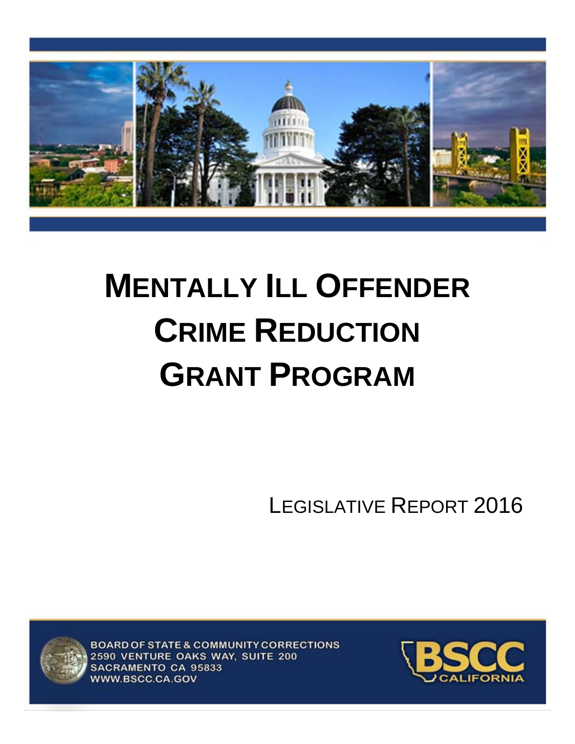

# **MENTALLY ILL OFFENDER CRIME REDUCTION GRANT PROGRAM**

LEGISLATIVE REPORT 2016



BOARD OF STATE & COMMUNITY CORRECTIONS 2590 VENTURE OAKS WAY, SUITE 200 SACRAMENTO CA 95833 WWW.BSCC.CA.GOV

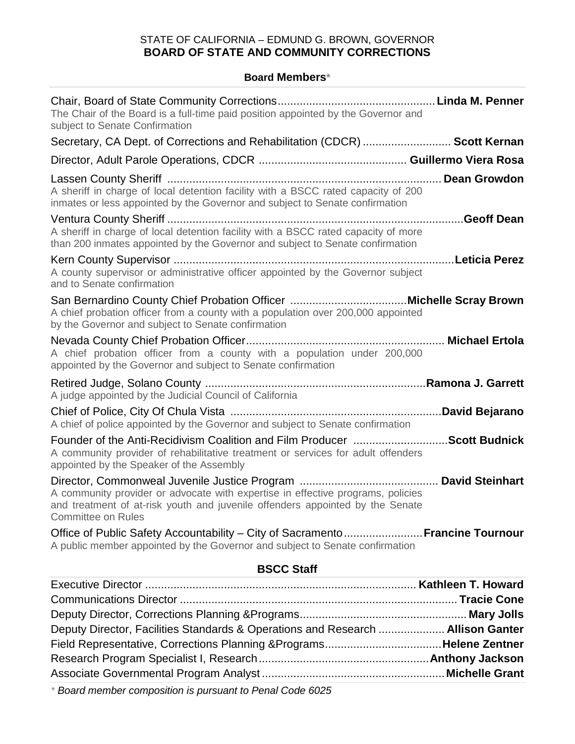#### STATE OF CALIFORNIA – EDMUND G. BROWN, GOVERNOR **BOARD OF STATE AND COMMUNITY CORRECTIONS**

#### **Board Members\***

| subject to Senate Confirmation<br>Secretary, CA Dept. of Corrections and Rehabilitation (CDCR)  Scott Kernan<br>A sheriff in charge of local detention facility with a BSCC rated capacity of 200<br>inmates or less appointed by the Governor and subject to Senate confirmation<br>A sheriff in charge of local detention facility with a BSCC rated capacity of more<br>than 200 inmates appointed by the Governor and subject to Senate confirmation<br>A county supervisor or administrative officer appointed by the Governor subject<br>and to Senate confirmation<br>A chief probation officer from a county with a population over 200,000 appointed<br>by the Governor and subject to Senate confirmation<br>A chief probation officer from a county with a population under 200,000<br>appointed by the Governor and subject to Senate confirmation<br>A judge appointed by the Judicial Council of California<br>A chief of police appointed by the Governor and subject to Senate confirmation<br>Founder of the Anti-Recidivism Coalition and Film Producer Scott Budnick<br>A community provider of rehabilitative treatment or services for adult offenders<br>appointed by the Speaker of the Assembly |  |  |  |
|-------------------------------------------------------------------------------------------------------------------------------------------------------------------------------------------------------------------------------------------------------------------------------------------------------------------------------------------------------------------------------------------------------------------------------------------------------------------------------------------------------------------------------------------------------------------------------------------------------------------------------------------------------------------------------------------------------------------------------------------------------------------------------------------------------------------------------------------------------------------------------------------------------------------------------------------------------------------------------------------------------------------------------------------------------------------------------------------------------------------------------------------------------------------------------------------------------------------------|--|--|--|
|                                                                                                                                                                                                                                                                                                                                                                                                                                                                                                                                                                                                                                                                                                                                                                                                                                                                                                                                                                                                                                                                                                                                                                                                                         |  |  |  |
|                                                                                                                                                                                                                                                                                                                                                                                                                                                                                                                                                                                                                                                                                                                                                                                                                                                                                                                                                                                                                                                                                                                                                                                                                         |  |  |  |
|                                                                                                                                                                                                                                                                                                                                                                                                                                                                                                                                                                                                                                                                                                                                                                                                                                                                                                                                                                                                                                                                                                                                                                                                                         |  |  |  |
|                                                                                                                                                                                                                                                                                                                                                                                                                                                                                                                                                                                                                                                                                                                                                                                                                                                                                                                                                                                                                                                                                                                                                                                                                         |  |  |  |
|                                                                                                                                                                                                                                                                                                                                                                                                                                                                                                                                                                                                                                                                                                                                                                                                                                                                                                                                                                                                                                                                                                                                                                                                                         |  |  |  |
|                                                                                                                                                                                                                                                                                                                                                                                                                                                                                                                                                                                                                                                                                                                                                                                                                                                                                                                                                                                                                                                                                                                                                                                                                         |  |  |  |
|                                                                                                                                                                                                                                                                                                                                                                                                                                                                                                                                                                                                                                                                                                                                                                                                                                                                                                                                                                                                                                                                                                                                                                                                                         |  |  |  |
|                                                                                                                                                                                                                                                                                                                                                                                                                                                                                                                                                                                                                                                                                                                                                                                                                                                                                                                                                                                                                                                                                                                                                                                                                         |  |  |  |
|                                                                                                                                                                                                                                                                                                                                                                                                                                                                                                                                                                                                                                                                                                                                                                                                                                                                                                                                                                                                                                                                                                                                                                                                                         |  |  |  |
|                                                                                                                                                                                                                                                                                                                                                                                                                                                                                                                                                                                                                                                                                                                                                                                                                                                                                                                                                                                                                                                                                                                                                                                                                         |  |  |  |
| A community provider or advocate with expertise in effective programs, policies<br>and treatment of at-risk youth and juvenile offenders appointed by the Senate<br><b>Committee on Rules</b>                                                                                                                                                                                                                                                                                                                                                                                                                                                                                                                                                                                                                                                                                                                                                                                                                                                                                                                                                                                                                           |  |  |  |
| Office of Public Safety Accountability - City of Sacramento Francine Tournour<br>A public member appointed by the Governor and subject to Senate confirmation                                                                                                                                                                                                                                                                                                                                                                                                                                                                                                                                                                                                                                                                                                                                                                                                                                                                                                                                                                                                                                                           |  |  |  |
| <b>BSCC Staff</b>                                                                                                                                                                                                                                                                                                                                                                                                                                                                                                                                                                                                                                                                                                                                                                                                                                                                                                                                                                                                                                                                                                                                                                                                       |  |  |  |
|                                                                                                                                                                                                                                                                                                                                                                                                                                                                                                                                                                                                                                                                                                                                                                                                                                                                                                                                                                                                                                                                                                                                                                                                                         |  |  |  |
|                                                                                                                                                                                                                                                                                                                                                                                                                                                                                                                                                                                                                                                                                                                                                                                                                                                                                                                                                                                                                                                                                                                                                                                                                         |  |  |  |
| Deputy Director, Facilities Standards & Operations and Research  Allison Ganter                                                                                                                                                                                                                                                                                                                                                                                                                                                                                                                                                                                                                                                                                                                                                                                                                                                                                                                                                                                                                                                                                                                                         |  |  |  |

Field Representative, Corrections Planning &Programs.....................................**Helene Zentner** Research Program Specialist I, Research......................................................**Anthony Jackson** Associate Governmental Program Analyst ..........................................................**Michelle Grant**

*\* Board member composition is pursuant to Penal Code 6025*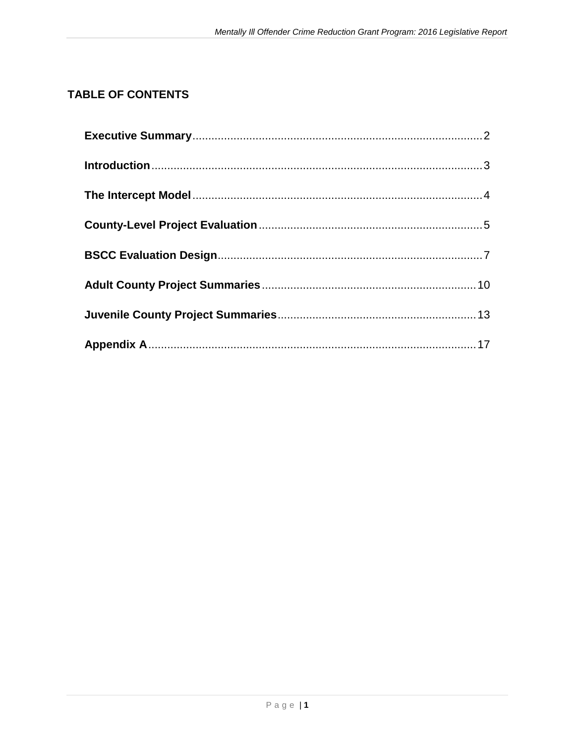# **TABLE OF CONTENTS**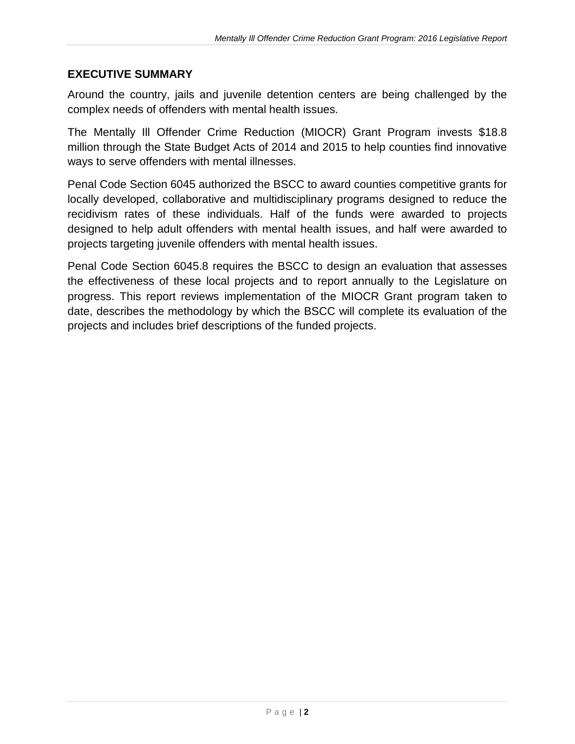#### <span id="page-3-0"></span>**EXECUTIVE SUMMARY**

Around the country, jails and juvenile detention centers are being challenged by the complex needs of offenders with mental health issues.

The Mentally Ill Offender Crime Reduction (MIOCR) Grant Program invests \$18.8 million through the State Budget Acts of 2014 and 2015 to help counties find innovative ways to serve offenders with mental illnesses.

Penal Code Section 6045 authorized the BSCC to award counties competitive grants for locally developed, collaborative and multidisciplinary programs designed to reduce the recidivism rates of these individuals. Half of the funds were awarded to projects designed to help adult offenders with mental health issues, and half were awarded to projects targeting juvenile offenders with mental health issues.

Penal Code Section 6045.8 requires the BSCC to design an evaluation that assesses the effectiveness of these local projects and to report annually to the Legislature on progress. This report reviews implementation of the MIOCR Grant program taken to date, describes the methodology by which the BSCC will complete its evaluation of the projects and includes brief descriptions of the funded projects.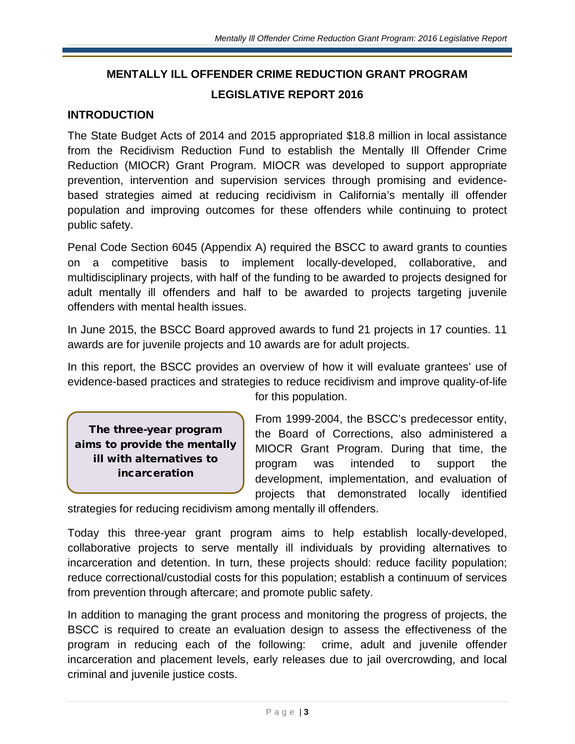# **MENTALLY ILL OFFENDER CRIME REDUCTION GRANT PROGRAM LEGISLATIVE REPORT 2016**

#### <span id="page-4-0"></span>**INTRODUCTION**

The State Budget Acts of 2014 and 2015 appropriated \$18.8 million in local assistance from the Recidivism Reduction Fund to establish the Mentally Ill Offender Crime Reduction (MIOCR) Grant Program. MIOCR was developed to support appropriate prevention, intervention and supervision services through promising and evidencebased strategies aimed at reducing recidivism in California's mentally ill offender population and improving outcomes for these offenders while continuing to protect public safety.

Penal Code Section 6045 (Appendix A) required the BSCC to award grants to counties on a competitive basis to implement locally-developed, collaborative, and multidisciplinary projects, with half of the funding to be awarded to projects designed for adult mentally ill offenders and half to be awarded to projects targeting juvenile offenders with mental health issues.

In June 2015, the BSCC Board approved awards to fund 21 projects in 17 counties. 11 awards are for juvenile projects and 10 awards are for adult projects.

In this report, the BSCC provides an overview of how it will evaluate grantees' use of evidence-based practices and strategies to reduce recidivism and improve quality-of-life for this population.

The three-year program aims to provide the mentally ill with alternatives to incarceration

From 1999-2004, the BSCC's predecessor entity, the Board of Corrections, also administered a MIOCR Grant Program. During that time, the program was intended to support the development, implementation, and evaluation of projects that demonstrated locally identified

strategies for reducing recidivism among mentally ill offenders.

Today this three-year grant program aims to help establish locally-developed, collaborative projects to serve mentally ill individuals by providing alternatives to incarceration and detention. In turn, these projects should: reduce facility population; reduce correctional/custodial costs for this population; establish a continuum of services from prevention through aftercare; and promote public safety.

In addition to managing the grant process and monitoring the progress of projects, the BSCC is required to create an evaluation design to assess the effectiveness of the program in reducing each of the following: crime, adult and juvenile offender incarceration and placement levels, early releases due to jail overcrowding, and local criminal and juvenile justice costs.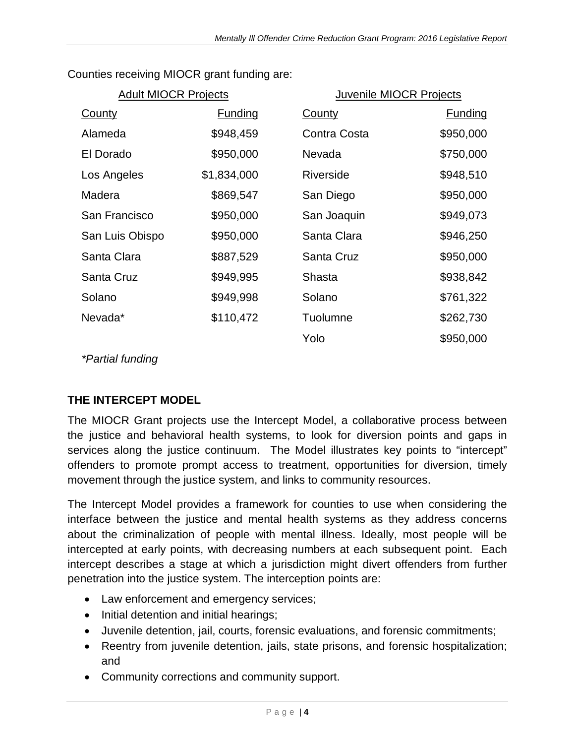| <b>Adult MIOCR Projects</b> |                |               | Juvenile MIOCR Projects |  |
|-----------------------------|----------------|---------------|-------------------------|--|
| County                      | <b>Funding</b> | <b>County</b> | <b>Funding</b>          |  |
| Alameda                     | \$948,459      | Contra Costa  | \$950,000               |  |
| El Dorado                   | \$950,000      | Nevada        | \$750,000               |  |
| Los Angeles                 | \$1,834,000    | Riverside     | \$948,510               |  |
| Madera                      | \$869,547      | San Diego     | \$950,000               |  |
| San Francisco               | \$950,000      | San Joaquin   | \$949,073               |  |
| San Luis Obispo             | \$950,000      | Santa Clara   | \$946,250               |  |
| Santa Clara                 | \$887,529      | Santa Cruz    | \$950,000               |  |
| Santa Cruz                  | \$949,995      | Shasta        | \$938,842               |  |
| Solano                      | \$949,998      | Solano        | \$761,322               |  |
| Nevada*                     | \$110,472      | Tuolumne      | \$262,730               |  |
|                             |                | Yolo          | \$950,000               |  |

Counties receiving MIOCR grant funding are:

*\*Partial funding*

# <span id="page-5-0"></span>**THE INTERCEPT MODEL**

The MIOCR Grant projects use the Intercept Model, a collaborative process between the justice and behavioral health systems, to look for diversion points and gaps in services along the justice continuum. The Model illustrates key points to "intercept" offenders to promote prompt access to treatment, opportunities for diversion, timely movement through the justice system, and links to community resources.

The Intercept Model provides a framework for counties to use when considering the interface between the justice and mental health systems as they address concerns about the criminalization of people with mental illness. Ideally, most people will be intercepted at early points, with decreasing numbers at each subsequent point. Each intercept describes a stage at which a jurisdiction might divert offenders from further penetration into the justice system. The interception points are:

- Law enforcement and emergency services;
- Initial detention and initial hearings;
- Juvenile detention, jail, courts, forensic evaluations, and forensic commitments;
- Reentry from juvenile detention, jails, state prisons, and forensic hospitalization; and
- Community corrections and community support.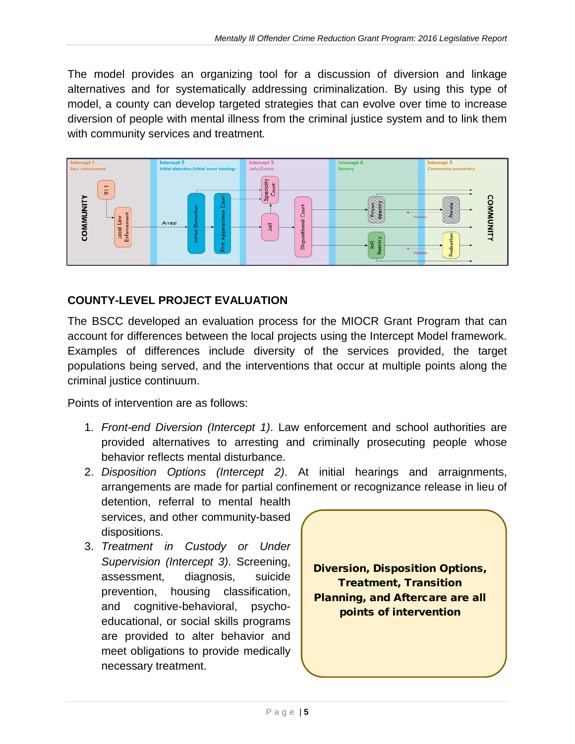The model provides an organizing tool for a discussion of diversion and linkage alternatives and for systematically addressing criminalization. By using this type of model, a county can develop targeted strategies that can evolve over time to increase diversion of people with mental illness from the criminal justice system and to link them with community services and treatment*.* 



# <span id="page-6-0"></span>**COUNTY-LEVEL PROJECT EVALUATION**

The BSCC developed an evaluation process for the MIOCR Grant Program that can account for differences between the local projects using the Intercept Model framework. Examples of differences include diversity of the services provided, the target populations being served, and the interventions that occur at multiple points along the criminal justice continuum.

Points of intervention are as follows:

1. *Front-end Diversion (Intercept 1)*. Law enforcement and school authorities are provided alternatives to arresting and criminally prosecuting people whose behavior reflects mental disturbance.

2. *Disposition Options (Intercept 2)*. At initial hearings and arraignments, arrangements are made for partial confinement or recognizance release in lieu of

detention, referral to mental health services, and other community-based dispositions.

3. *Treatment in Custody or Under Supervision (Intercept 3)*. Screening, assessment, diagnosis, suicide prevention, housing classification, and cognitive-behavioral, psychoeducational, or social skills programs are provided to alter behavior and meet obligations to provide medically necessary treatment.

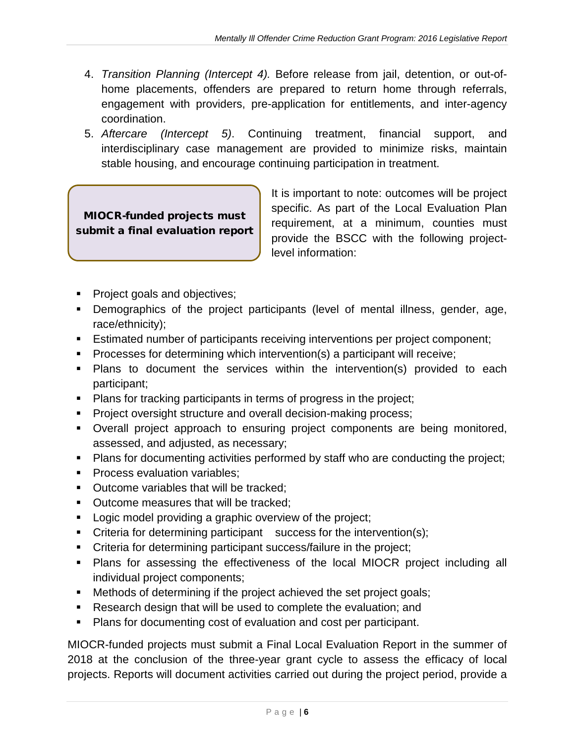- 4. *Transition Planning (Intercept 4).* Before release from jail, detention, or out-ofhome placements, offenders are prepared to return home through referrals, engagement with providers, pre-application for entitlements, and inter-agency coordination.
- 5. *Aftercare (Intercept 5)*. Continuing treatment, financial support, and interdisciplinary case management are provided to minimize risks, maintain stable housing, and encourage continuing participation in treatment.

MIOCR-funded projects must submit a final evaluation report It is important to note: outcomes will be project specific. As part of the Local Evaluation Plan requirement, at a minimum, counties must provide the BSCC with the following projectlevel information:

- **Project goals and objectives;**
- Demographics of the project participants (level of mental illness, gender, age, race/ethnicity);
- Estimated number of participants receiving interventions per project component;
- Processes for determining which intervention(s) a participant will receive;
- Plans to document the services within the intervention(s) provided to each participant;
- **Plans for tracking participants in terms of progress in the project;**
- Project oversight structure and overall decision-making process;
- Overall project approach to ensuring project components are being monitored, assessed, and adjusted, as necessary;
- Plans for documenting activities performed by staff who are conducting the project;
- **Process evaluation variables:**
- **Dutcome variables that will be tracked:**
- **Dutcome measures that will be tracked:**
- **Logic model providing a graphic overview of the project;**
- Criteria for determining participant success for the intervention(s);
- **Criteria for determining participant success/failure in the project;**
- Plans for assessing the effectiveness of the local MIOCR project including all individual project components;
- Methods of determining if the project achieved the set project goals;
- Research design that will be used to complete the evaluation; and
- Plans for documenting cost of evaluation and cost per participant.

MIOCR-funded projects must submit a Final Local Evaluation Report in the summer of 2018 at the conclusion of the three-year grant cycle to assess the efficacy of local projects. Reports will document activities carried out during the project period, provide a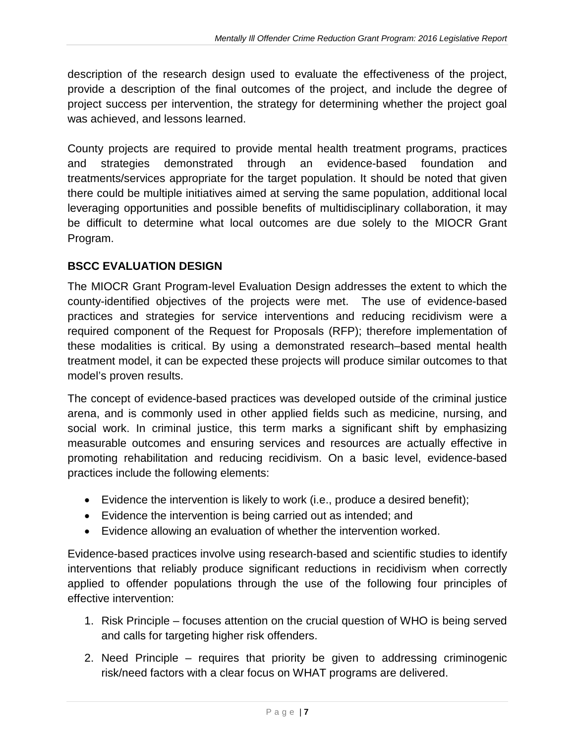description of the research design used to evaluate the effectiveness of the project, provide a description of the final outcomes of the project, and include the degree of project success per intervention, the strategy for determining whether the project goal was achieved, and lessons learned.

County projects are required to provide mental health treatment programs, practices and strategies demonstrated through an evidence-based foundation and treatments/services appropriate for the target population. It should be noted that given there could be multiple initiatives aimed at serving the same population, additional local leveraging opportunities and possible benefits of multidisciplinary collaboration, it may be difficult to determine what local outcomes are due solely to the MIOCR Grant Program.

#### <span id="page-8-0"></span>**BSCC EVALUATION DESIGN**

The MIOCR Grant Program-level Evaluation Design addresses the extent to which the county-identified objectives of the projects were met. The use of evidence-based practices and strategies for service interventions and reducing recidivism were a required component of the Request for Proposals (RFP); therefore implementation of these modalities is critical. By using a demonstrated research–based mental health treatment model, it can be expected these projects will produce similar outcomes to that model's proven results.

The concept of evidence-based practices was developed outside of the criminal justice arena, and is commonly used in other applied fields such as medicine, nursing, and social work. In criminal justice, this term marks a significant shift by emphasizing measurable outcomes and ensuring services and resources are actually effective in promoting rehabilitation and reducing recidivism. On a basic level, evidence-based practices include the following elements:

- Evidence the intervention is likely to work (i.e., produce a desired benefit);
- Evidence the intervention is being carried out as intended; and
- Evidence allowing an evaluation of whether the intervention worked.

Evidence-based practices involve using research-based and scientific studies to identify interventions that reliably produce significant reductions in recidivism when correctly applied to offender populations through the use of the following four principles of effective intervention:

- 1. Risk Principle focuses attention on the crucial question of WHO is being served and calls for targeting higher risk offenders.
- 2. Need Principle requires that priority be given to addressing criminogenic risk/need factors with a clear focus on WHAT programs are delivered.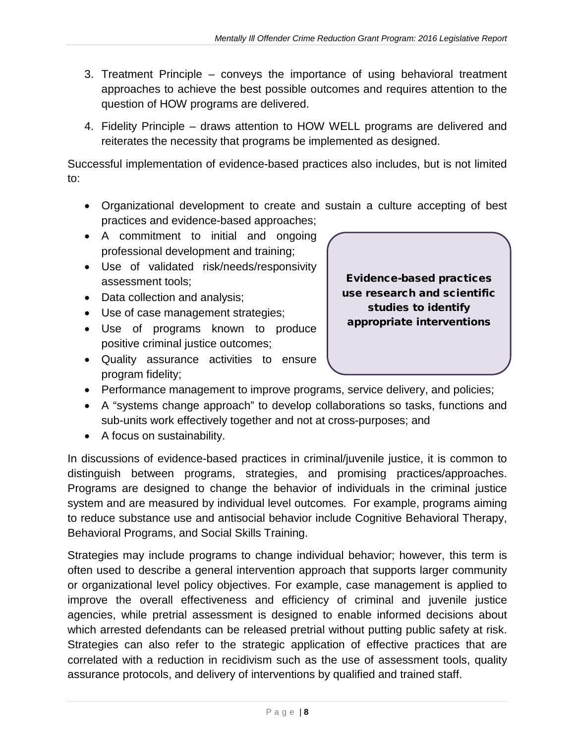- 3. Treatment Principle conveys the importance of using behavioral treatment approaches to achieve the best possible outcomes and requires attention to the question of HOW programs are delivered.
- 4. Fidelity Principle draws attention to HOW WELL programs are delivered and reiterates the necessity that programs be implemented as designed.

Successful implementation of evidence-based practices also includes, but is not limited to:

- Organizational development to create and sustain a culture accepting of best practices and evidence-based approaches;
- A commitment to initial and ongoing professional development and training;
- Use of validated risk/needs/responsivity assessment tools;
- Data collection and analysis;
- Use of case management strategies;
- Use of programs known to produce positive criminal justice outcomes;
- Quality assurance activities to ensure program fidelity;



- Performance management to improve programs, service delivery, and policies;
- A "systems change approach" to develop collaborations so tasks, functions and sub-units work effectively together and not at cross-purposes; and
- A focus on sustainability.

In discussions of evidence-based practices in criminal/juvenile justice, it is common to distinguish between programs, strategies, and promising practices/approaches. Programs are designed to change the behavior of individuals in the criminal justice system and are measured by individual level outcomes. For example, programs aiming to reduce substance use and antisocial behavior include Cognitive Behavioral Therapy, Behavioral Programs, and Social Skills Training.

Strategies may include programs to change individual behavior; however, this term is often used to describe a general intervention approach that supports larger community or organizational level policy objectives. For example, case management is applied to improve the overall effectiveness and efficiency of criminal and juvenile justice agencies, while pretrial assessment is designed to enable informed decisions about which arrested defendants can be released pretrial without putting public safety at risk. Strategies can also refer to the strategic application of effective practices that are correlated with a reduction in recidivism such as the use of assessment tools, quality assurance protocols, and delivery of interventions by qualified and trained staff.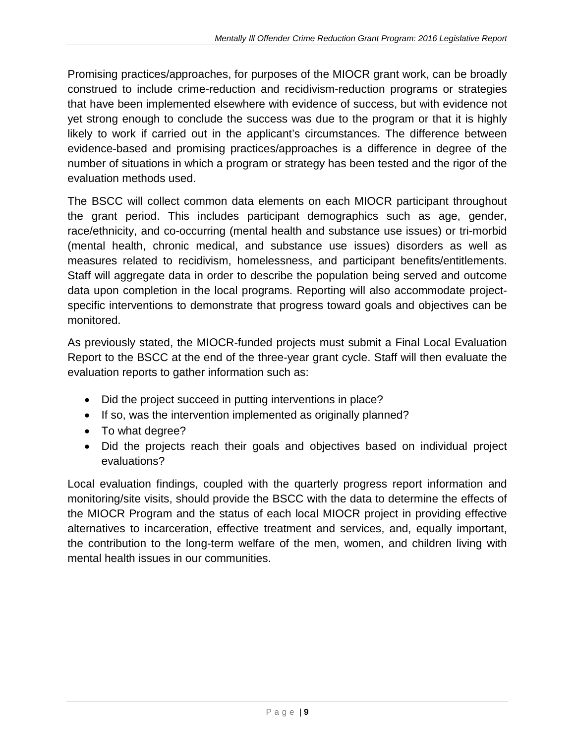Promising practices/approaches, for purposes of the MIOCR grant work, can be broadly construed to include crime-reduction and recidivism-reduction programs or strategies that have been implemented elsewhere with evidence of success, but with evidence not yet strong enough to conclude the success was due to the program or that it is highly likely to work if carried out in the applicant's circumstances. The difference between evidence-based and promising practices/approaches is a difference in degree of the number of situations in which a program or strategy has been tested and the rigor of the evaluation methods used.

The BSCC will collect common data elements on each MIOCR participant throughout the grant period. This includes participant demographics such as age, gender, race/ethnicity, and co-occurring (mental health and substance use issues) or tri-morbid (mental health, chronic medical, and substance use issues) disorders as well as measures related to recidivism, homelessness, and participant benefits/entitlements. Staff will aggregate data in order to describe the population being served and outcome data upon completion in the local programs. Reporting will also accommodate projectspecific interventions to demonstrate that progress toward goals and objectives can be monitored.

As previously stated, the MIOCR-funded projects must submit a Final Local Evaluation Report to the BSCC at the end of the three-year grant cycle. Staff will then evaluate the evaluation reports to gather information such as:

- Did the project succeed in putting interventions in place?
- If so, was the intervention implemented as originally planned?
- To what degree?
- Did the projects reach their goals and objectives based on individual project evaluations?

Local evaluation findings, coupled with the quarterly progress report information and monitoring/site visits, should provide the BSCC with the data to determine the effects of the MIOCR Program and the status of each local MIOCR project in providing effective alternatives to incarceration, effective treatment and services, and, equally important, the contribution to the long-term welfare of the men, women, and children living with mental health issues in our communities.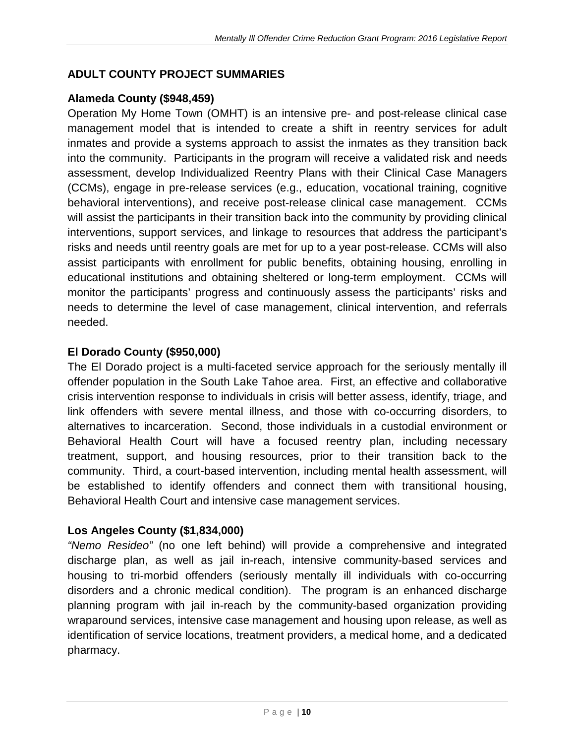### <span id="page-11-0"></span>**ADULT COUNTY PROJECT SUMMARIES**

#### **Alameda County (\$948,459)**

Operation My Home Town (OMHT) is an intensive pre- and post-release clinical case management model that is intended to create a shift in reentry services for adult inmates and provide a systems approach to assist the inmates as they transition back into the community. Participants in the program will receive a validated risk and needs assessment, develop Individualized Reentry Plans with their Clinical Case Managers (CCMs), engage in pre-release services (e.g., education, vocational training, cognitive behavioral interventions), and receive post-release clinical case management. CCMs will assist the participants in their transition back into the community by providing clinical interventions, support services, and linkage to resources that address the participant's risks and needs until reentry goals are met for up to a year post-release. CCMs will also assist participants with enrollment for public benefits, obtaining housing, enrolling in educational institutions and obtaining sheltered or long-term employment. CCMs will monitor the participants' progress and continuously assess the participants' risks and needs to determine the level of case management, clinical intervention, and referrals needed.

#### **El Dorado County (\$950,000)**

The El Dorado project is a multi-faceted service approach for the seriously mentally ill offender population in the South Lake Tahoe area. First, an effective and collaborative crisis intervention response to individuals in crisis will better assess, identify, triage, and link offenders with severe mental illness, and those with co-occurring disorders, to alternatives to incarceration. Second, those individuals in a custodial environment or Behavioral Health Court will have a focused reentry plan, including necessary treatment, support, and housing resources, prior to their transition back to the community. Third, a court-based intervention, including mental health assessment, will be established to identify offenders and connect them with transitional housing, Behavioral Health Court and intensive case management services.

#### **Los Angeles County (\$1,834,000)**

*"Nemo Resideo"* (no one left behind) will provide a comprehensive and integrated discharge plan, as well as jail in-reach, intensive community-based services and housing to tri-morbid offenders (seriously mentally ill individuals with co-occurring disorders and a chronic medical condition). The program is an enhanced discharge planning program with jail in-reach by the community-based organization providing wraparound services, intensive case management and housing upon release, as well as identification of service locations, treatment providers, a medical home, and a dedicated pharmacy.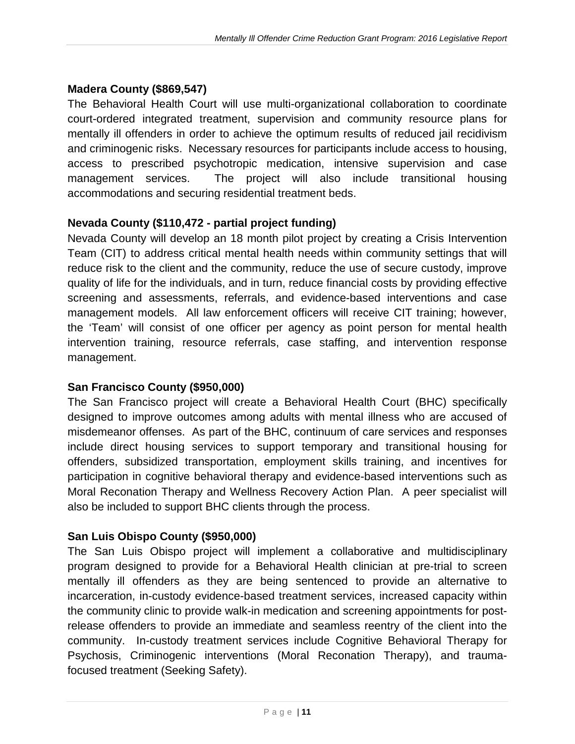### **Madera County (\$869,547)**

The Behavioral Health Court will use multi-organizational collaboration to coordinate court-ordered integrated treatment, supervision and community resource plans for mentally ill offenders in order to achieve the optimum results of reduced jail recidivism and criminogenic risks. Necessary resources for participants include access to housing, access to prescribed psychotropic medication, intensive supervision and case management services. The project will also include transitional housing accommodations and securing residential treatment beds.

# **Nevada County (\$110,472 - partial project funding)**

Nevada County will develop an 18 month pilot project by creating a Crisis Intervention Team (CIT) to address critical mental health needs within community settings that will reduce risk to the client and the community, reduce the use of secure custody, improve quality of life for the individuals, and in turn, reduce financial costs by providing effective screening and assessments, referrals, and evidence-based interventions and case management models. All law enforcement officers will receive CIT training; however, the 'Team' will consist of one officer per agency as point person for mental health intervention training, resource referrals, case staffing, and intervention response management.

#### **San Francisco County (\$950,000)**

The San Francisco project will create a Behavioral Health Court (BHC) specifically designed to improve outcomes among adults with mental illness who are accused of misdemeanor offenses. As part of the BHC, continuum of care services and responses include direct housing services to support temporary and transitional housing for offenders, subsidized transportation, employment skills training, and incentives for participation in cognitive behavioral therapy and evidence-based interventions such as Moral Reconation Therapy and Wellness Recovery Action Plan. A peer specialist will also be included to support BHC clients through the process.

#### **San Luis Obispo County (\$950,000)**

The San Luis Obispo project will implement a collaborative and multidisciplinary program designed to provide for a Behavioral Health clinician at pre-trial to screen mentally ill offenders as they are being sentenced to provide an alternative to incarceration, in-custody evidence-based treatment services, increased capacity within the community clinic to provide walk-in medication and screening appointments for postrelease offenders to provide an immediate and seamless reentry of the client into the community. In-custody treatment services include Cognitive Behavioral Therapy for Psychosis, Criminogenic interventions (Moral Reconation Therapy), and traumafocused treatment (Seeking Safety).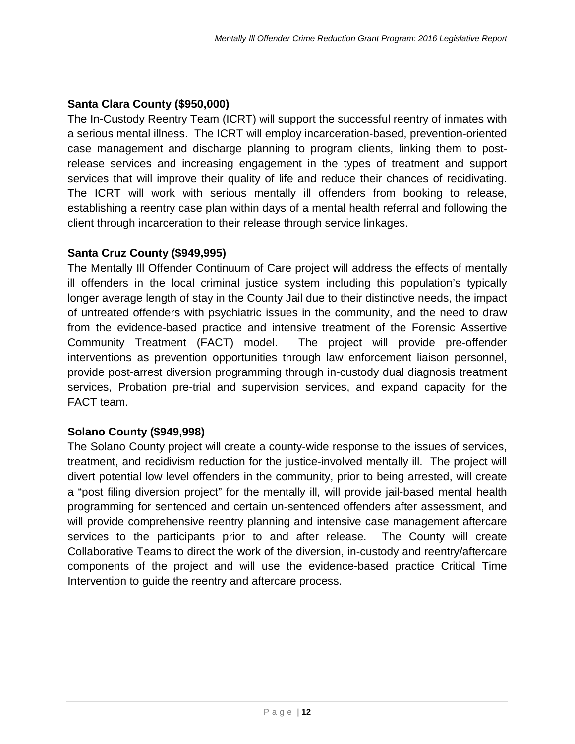# **Santa Clara County (\$950,000)**

The In-Custody Reentry Team (ICRT) will support the successful reentry of inmates with a serious mental illness. The ICRT will employ incarceration-based, prevention-oriented case management and discharge planning to program clients, linking them to postrelease services and increasing engagement in the types of treatment and support services that will improve their quality of life and reduce their chances of recidivating. The ICRT will work with serious mentally ill offenders from booking to release, establishing a reentry case plan within days of a mental health referral and following the client through incarceration to their release through service linkages.

#### **Santa Cruz County (\$949,995)**

The Mentally Ill Offender Continuum of Care project will address the effects of mentally ill offenders in the local criminal justice system including this population's typically longer average length of stay in the County Jail due to their distinctive needs, the impact of untreated offenders with psychiatric issues in the community, and the need to draw from the evidence-based practice and intensive treatment of the Forensic Assertive Community Treatment (FACT) model. The project will provide pre-offender interventions as prevention opportunities through law enforcement liaison personnel, provide post-arrest diversion programming through in-custody dual diagnosis treatment services, Probation pre-trial and supervision services, and expand capacity for the FACT team.

# **Solano County (\$949,998)**

The Solano County project will create a county-wide response to the issues of services, treatment, and recidivism reduction for the justice-involved mentally ill. The project will divert potential low level offenders in the community, prior to being arrested, will create a "post filing diversion project" for the mentally ill, will provide jail-based mental health programming for sentenced and certain un-sentenced offenders after assessment, and will provide comprehensive reentry planning and intensive case management aftercare services to the participants prior to and after release. The County will create Collaborative Teams to direct the work of the diversion, in-custody and reentry/aftercare components of the project and will use the evidence-based practice Critical Time Intervention to guide the reentry and aftercare process.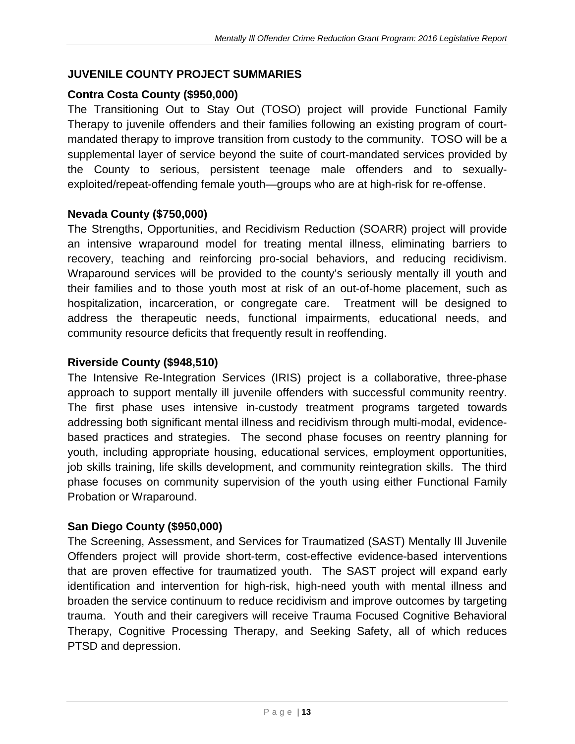#### <span id="page-14-0"></span>**JUVENILE COUNTY PROJECT SUMMARIES**

#### **Contra Costa County (\$950,000)**

The Transitioning Out to Stay Out (TOSO) project will provide Functional Family Therapy to juvenile offenders and their families following an existing program of courtmandated therapy to improve transition from custody to the community. TOSO will be a supplemental layer of service beyond the suite of court-mandated services provided by the County to serious, persistent teenage male offenders and to sexuallyexploited/repeat-offending female youth—groups who are at high-risk for re-offense.

#### **Nevada County (\$750,000)**

The Strengths, Opportunities, and Recidivism Reduction (SOARR) project will provide an intensive wraparound model for treating mental illness, eliminating barriers to recovery, teaching and reinforcing pro-social behaviors, and reducing recidivism. Wraparound services will be provided to the county's seriously mentally ill youth and their families and to those youth most at risk of an out-of-home placement, such as hospitalization, incarceration, or congregate care. Treatment will be designed to address the therapeutic needs, functional impairments, educational needs, and community resource deficits that frequently result in reoffending.

#### **Riverside County (\$948,510)**

The Intensive Re-Integration Services (IRIS) project is a collaborative, three-phase approach to support mentally ill juvenile offenders with successful community reentry. The first phase uses intensive in-custody treatment programs targeted towards addressing both significant mental illness and recidivism through multi-modal, evidencebased practices and strategies. The second phase focuses on reentry planning for youth, including appropriate housing, educational services, employment opportunities, job skills training, life skills development, and community reintegration skills. The third phase focuses on community supervision of the youth using either Functional Family Probation or Wraparound.

#### **San Diego County (\$950,000)**

The Screening, Assessment, and Services for Traumatized (SAST) Mentally Ill Juvenile Offenders project will provide short-term, cost-effective evidence-based interventions that are proven effective for traumatized youth. The SAST project will expand early identification and intervention for high-risk, high-need youth with mental illness and broaden the service continuum to reduce recidivism and improve outcomes by targeting trauma. Youth and their caregivers will receive Trauma Focused Cognitive Behavioral Therapy, Cognitive Processing Therapy, and Seeking Safety, all of which reduces PTSD and depression.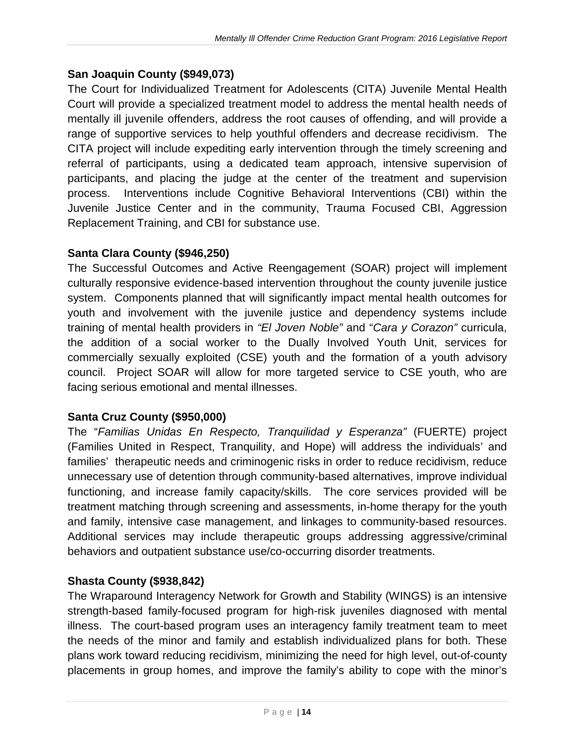#### **San Joaquin County (\$949,073)**

The Court for Individualized Treatment for Adolescents (CITA) Juvenile Mental Health Court will provide a specialized treatment model to address the mental health needs of mentally ill juvenile offenders, address the root causes of offending, and will provide a range of supportive services to help youthful offenders and decrease recidivism. The CITA project will include expediting early intervention through the timely screening and referral of participants, using a dedicated team approach, intensive supervision of participants, and placing the judge at the center of the treatment and supervision process. Interventions include Cognitive Behavioral Interventions (CBI) within the Juvenile Justice Center and in the community, Trauma Focused CBI, Aggression Replacement Training, and CBI for substance use.

#### **Santa Clara County (\$946,250)**

The Successful Outcomes and Active Reengagement (SOAR) project will implement culturally responsive evidence-based intervention throughout the county juvenile justice system. Components planned that will significantly impact mental health outcomes for youth and involvement with the juvenile justice and dependency systems include training of mental health providers in *"El Joven Noble"* and "*Cara y Corazon"* curricula, the addition of a social worker to the Dually Involved Youth Unit, services for commercially sexually exploited (CSE) youth and the formation of a youth advisory council. Project SOAR will allow for more targeted service to CSE youth, who are facing serious emotional and mental illnesses.

#### **Santa Cruz County (\$950,000)**

The "*Familias Unidas En Respecto, Tranquilidad y Esperanza"* (FUERTE) project (Families United in Respect, Tranquility, and Hope) will address the individuals' and families' therapeutic needs and criminogenic risks in order to reduce recidivism, reduce unnecessary use of detention through community-based alternatives, improve individual functioning, and increase family capacity/skills. The core services provided will be treatment matching through screening and assessments, in-home therapy for the youth and family, intensive case management, and linkages to community-based resources. Additional services may include therapeutic groups addressing aggressive/criminal behaviors and outpatient substance use/co-occurring disorder treatments.

#### **Shasta County (\$938,842)**

The Wraparound Interagency Network for Growth and Stability (WINGS) is an intensive strength-based family-focused program for high-risk juveniles diagnosed with mental illness. The court-based program uses an interagency family treatment team to meet the needs of the minor and family and establish individualized plans for both. These plans work toward reducing recidivism, minimizing the need for high level, out-of-county placements in group homes, and improve the family's ability to cope with the minor's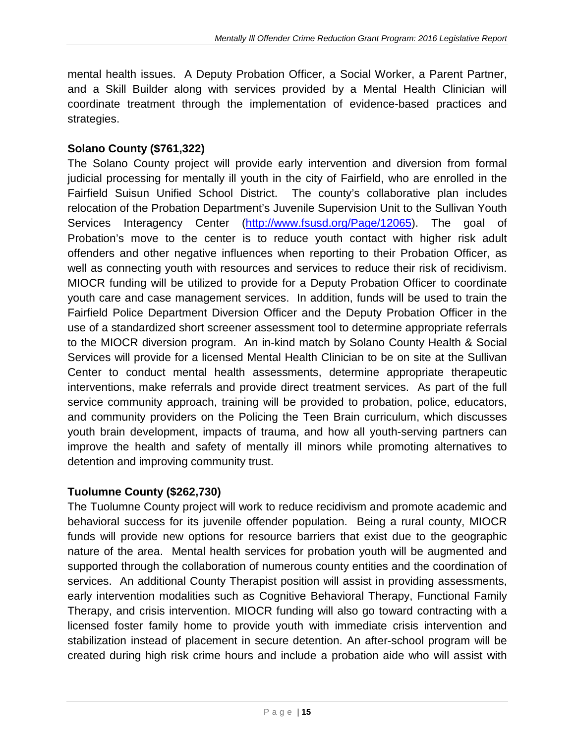mental health issues. A Deputy Probation Officer, a Social Worker, a Parent Partner, and a Skill Builder along with services provided by a Mental Health Clinician will coordinate treatment through the implementation of evidence-based practices and strategies.

#### **Solano County (\$761,322)**

The Solano County project will provide early intervention and diversion from formal judicial processing for mentally ill youth in the city of Fairfield, who are enrolled in the Fairfield Suisun Unified School District. The county's collaborative plan includes relocation of the Probation Department's Juvenile Supervision Unit to the Sullivan Youth Services Interagency Center [\(http://www.fsusd.org/Page/12065\)](http://www.fsusd.org/Page/12065). The goal of Probation's move to the center is to reduce youth contact with higher risk adult offenders and other negative influences when reporting to their Probation Officer, as well as connecting youth with resources and services to reduce their risk of recidivism. MIOCR funding will be utilized to provide for a Deputy Probation Officer to coordinate youth care and case management services. In addition, funds will be used to train the Fairfield Police Department Diversion Officer and the Deputy Probation Officer in the use of a standardized short screener assessment tool to determine appropriate referrals to the MIOCR diversion program. An in-kind match by Solano County Health & Social Services will provide for a licensed Mental Health Clinician to be on site at the Sullivan Center to conduct mental health assessments, determine appropriate therapeutic interventions, make referrals and provide direct treatment services. As part of the full service community approach, training will be provided to probation, police, educators, and community providers on the Policing the Teen Brain curriculum, which discusses youth brain development, impacts of trauma, and how all youth-serving partners can improve the health and safety of mentally ill minors while promoting alternatives to detention and improving community trust.

#### **Tuolumne County (\$262,730)**

The Tuolumne County project will work to reduce recidivism and promote academic and behavioral success for its juvenile offender population. Being a rural county, MIOCR funds will provide new options for resource barriers that exist due to the geographic nature of the area. Mental health services for probation youth will be augmented and supported through the collaboration of numerous county entities and the coordination of services. An additional County Therapist position will assist in providing assessments, early intervention modalities such as Cognitive Behavioral Therapy, Functional Family Therapy, and crisis intervention. MIOCR funding will also go toward contracting with a licensed foster family home to provide youth with immediate crisis intervention and stabilization instead of placement in secure detention. An after-school program will be created during high risk crime hours and include a probation aide who will assist with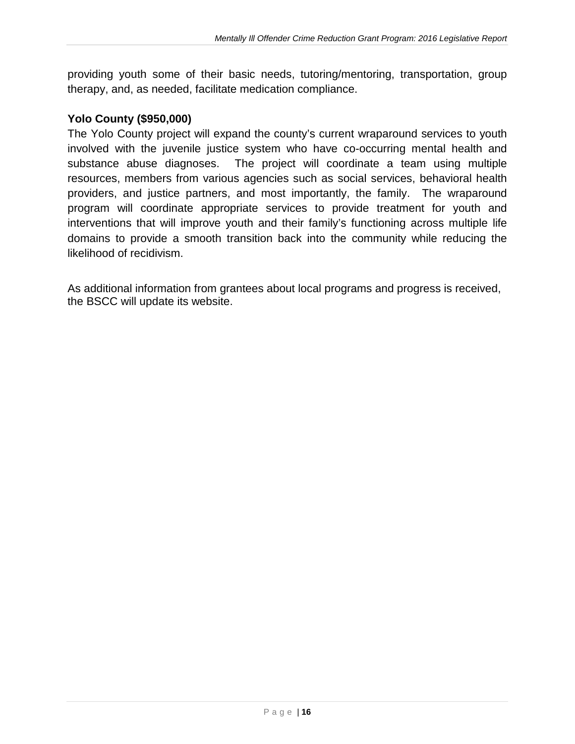providing youth some of their basic needs, tutoring/mentoring, transportation, group therapy, and, as needed, facilitate medication compliance.

#### **Yolo County (\$950,000)**

The Yolo County project will expand the county's current wraparound services to youth involved with the juvenile justice system who have co-occurring mental health and substance abuse diagnoses. The project will coordinate a team using multiple resources, members from various agencies such as social services, behavioral health providers, and justice partners, and most importantly, the family. The wraparound program will coordinate appropriate services to provide treatment for youth and interventions that will improve youth and their family's functioning across multiple life domains to provide a smooth transition back into the community while reducing the likelihood of recidivism.

As additional information from grantees about local programs and progress is received, the BSCC will update its website.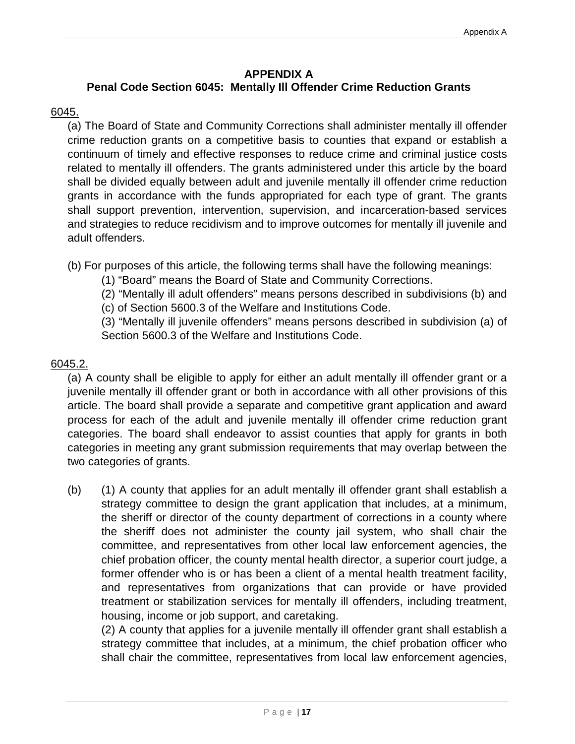#### **APPENDIX A**

### <span id="page-18-0"></span>**Penal Code Section 6045: Mentally Ill Offender Crime Reduction Grants**

#### 6045.

(a) The Board of State and Community Corrections shall administer mentally ill offender crime reduction grants on a competitive basis to counties that expand or establish a continuum of timely and effective responses to reduce crime and criminal justice costs related to mentally ill offenders. The grants administered under this article by the board shall be divided equally between adult and juvenile mentally ill offender crime reduction grants in accordance with the funds appropriated for each type of grant. The grants shall support prevention, intervention, supervision, and incarceration-based services and strategies to reduce recidivism and to improve outcomes for mentally ill juvenile and adult offenders.

(b) For purposes of this article, the following terms shall have the following meanings:

(1) "Board" means the Board of State and Community Corrections.

(2) "Mentally ill adult offenders" means persons described in subdivisions (b) and

(c) of Section 5600.3 of the Welfare and Institutions Code.

(3) "Mentally ill juvenile offenders" means persons described in subdivision (a) of Section 5600.3 of the Welfare and Institutions Code.

#### 6045.2.

(a) A county shall be eligible to apply for either an adult mentally ill offender grant or a juvenile mentally ill offender grant or both in accordance with all other provisions of this article. The board shall provide a separate and competitive grant application and award process for each of the adult and juvenile mentally ill offender crime reduction grant categories. The board shall endeavor to assist counties that apply for grants in both categories in meeting any grant submission requirements that may overlap between the two categories of grants.

(b) (1) A county that applies for an adult mentally ill offender grant shall establish a strategy committee to design the grant application that includes, at a minimum, the sheriff or director of the county department of corrections in a county where the sheriff does not administer the county jail system, who shall chair the committee, and representatives from other local law enforcement agencies, the chief probation officer, the county mental health director, a superior court judge, a former offender who is or has been a client of a mental health treatment facility, and representatives from organizations that can provide or have provided treatment or stabilization services for mentally ill offenders, including treatment, housing, income or job support, and caretaking.

(2) A county that applies for a juvenile mentally ill offender grant shall establish a strategy committee that includes, at a minimum, the chief probation officer who shall chair the committee, representatives from local law enforcement agencies,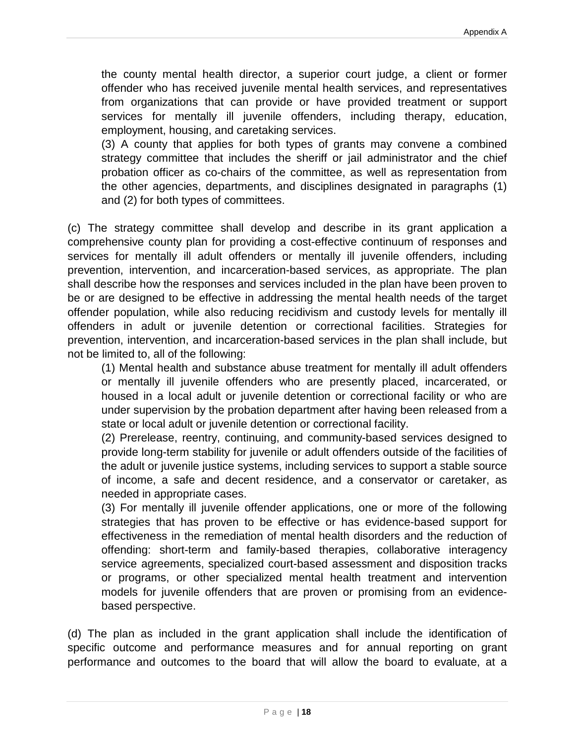the county mental health director, a superior court judge, a client or former offender who has received juvenile mental health services, and representatives from organizations that can provide or have provided treatment or support services for mentally ill juvenile offenders, including therapy, education, employment, housing, and caretaking services.

(3) A county that applies for both types of grants may convene a combined strategy committee that includes the sheriff or jail administrator and the chief probation officer as co-chairs of the committee, as well as representation from the other agencies, departments, and disciplines designated in paragraphs (1) and (2) for both types of committees.

(c) The strategy committee shall develop and describe in its grant application a comprehensive county plan for providing a cost-effective continuum of responses and services for mentally ill adult offenders or mentally ill juvenile offenders, including prevention, intervention, and incarceration-based services, as appropriate. The plan shall describe how the responses and services included in the plan have been proven to be or are designed to be effective in addressing the mental health needs of the target offender population, while also reducing recidivism and custody levels for mentally ill offenders in adult or juvenile detention or correctional facilities. Strategies for prevention, intervention, and incarceration-based services in the plan shall include, but not be limited to, all of the following:

(1) Mental health and substance abuse treatment for mentally ill adult offenders or mentally ill juvenile offenders who are presently placed, incarcerated, or housed in a local adult or juvenile detention or correctional facility or who are under supervision by the probation department after having been released from a state or local adult or juvenile detention or correctional facility.

(2) Prerelease, reentry, continuing, and community-based services designed to provide long-term stability for juvenile or adult offenders outside of the facilities of the adult or juvenile justice systems, including services to support a stable source of income, a safe and decent residence, and a conservator or caretaker, as needed in appropriate cases.

(3) For mentally ill juvenile offender applications, one or more of the following strategies that has proven to be effective or has evidence-based support for effectiveness in the remediation of mental health disorders and the reduction of offending: short-term and family-based therapies, collaborative interagency service agreements, specialized court-based assessment and disposition tracks or programs, or other specialized mental health treatment and intervention models for juvenile offenders that are proven or promising from an evidencebased perspective.

(d) The plan as included in the grant application shall include the identification of specific outcome and performance measures and for annual reporting on grant performance and outcomes to the board that will allow the board to evaluate, at a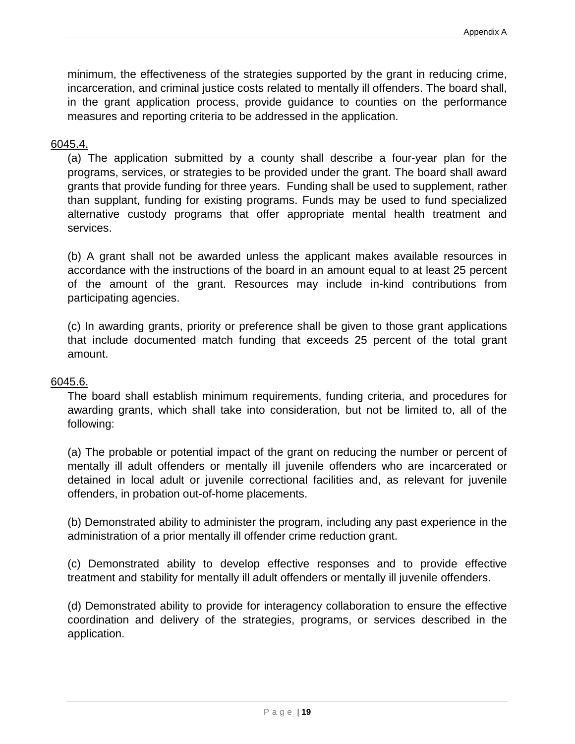minimum, the effectiveness of the strategies supported by the grant in reducing crime, incarceration, and criminal justice costs related to mentally ill offenders. The board shall, in the grant application process, provide guidance to counties on the performance measures and reporting criteria to be addressed in the application.

#### 6045.4.

(a) The application submitted by a county shall describe a four-year plan for the programs, services, or strategies to be provided under the grant. The board shall award grants that provide funding for three years. Funding shall be used to supplement, rather than supplant, funding for existing programs. Funds may be used to fund specialized alternative custody programs that offer appropriate mental health treatment and services.

(b) A grant shall not be awarded unless the applicant makes available resources in accordance with the instructions of the board in an amount equal to at least 25 percent of the amount of the grant. Resources may include in-kind contributions from participating agencies.

(c) In awarding grants, priority or preference shall be given to those grant applications that include documented match funding that exceeds 25 percent of the total grant amount.

#### 6045.6.

The board shall establish minimum requirements, funding criteria, and procedures for awarding grants, which shall take into consideration, but not be limited to, all of the following:

(a) The probable or potential impact of the grant on reducing the number or percent of mentally ill adult offenders or mentally ill juvenile offenders who are incarcerated or detained in local adult or juvenile correctional facilities and, as relevant for juvenile offenders, in probation out-of-home placements.

(b) Demonstrated ability to administer the program, including any past experience in the administration of a prior mentally ill offender crime reduction grant.

(c) Demonstrated ability to develop effective responses and to provide effective treatment and stability for mentally ill adult offenders or mentally ill juvenile offenders.

(d) Demonstrated ability to provide for interagency collaboration to ensure the effective coordination and delivery of the strategies, programs, or services described in the application.